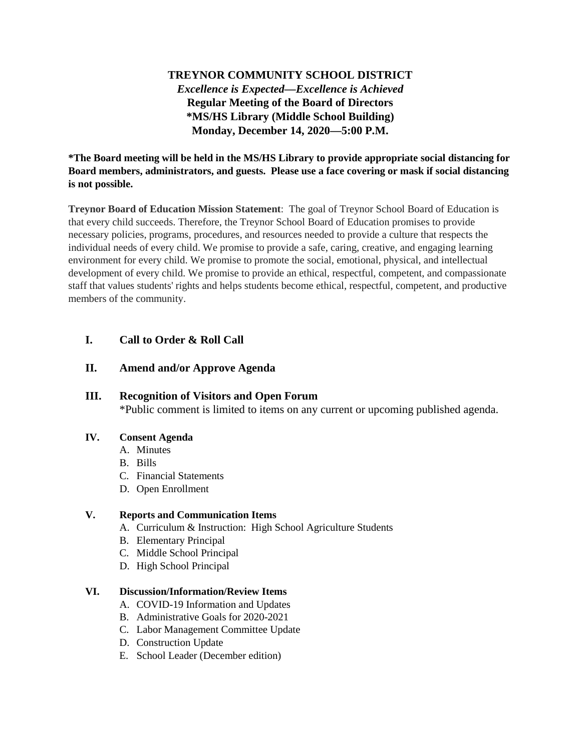## **TREYNOR COMMUNITY SCHOOL DISTRICT** *Excellence is Expected—Excellence is Achieved* **Regular Meeting of the Board of Directors \*MS/HS Library (Middle School Building) Monday, December 14, 2020—5:00 P.M.**

#### **\*The Board meeting will be held in the MS/HS Library to provide appropriate social distancing for Board members, administrators, and guests. Please use a face covering or mask if social distancing is not possible.**

**Treynor Board of Education Mission Statement**: The goal of Treynor School Board of Education is that every child succeeds. Therefore, the Treynor School Board of Education promises to provide necessary policies, programs, procedures, and resources needed to provide a culture that respects the individual needs of every child. We promise to provide a safe, caring, creative, and engaging learning environment for every child. We promise to promote the social, emotional, physical, and intellectual development of every child. We promise to provide an ethical, respectful, competent, and compassionate staff that values students' rights and helps students become ethical, respectful, competent, and productive members of the community.

### **I. Call to Order & Roll Call**

### **II. Amend and/or Approve Agenda**

#### **III. Recognition of Visitors and Open Forum** \*Public comment is limited to items on any current or upcoming published agenda.

#### **IV. Consent Agenda**

- A. Minutes
- B. Bills
- C. Financial Statements
- D. Open Enrollment

#### **V. Reports and Communication Items**

- A. Curriculum & Instruction: High School Agriculture Students
- B. Elementary Principal
- C. Middle School Principal
- D. High School Principal

#### **VI. Discussion/Information/Review Items**

- A. COVID-19 Information and Updates
- B. Administrative Goals for 2020-2021
- C. Labor Management Committee Update
- D. Construction Update
- E. School Leader (December edition)